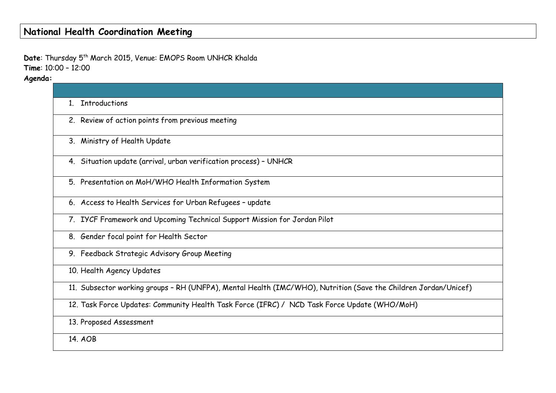# **National Health Coordination Meeting**

Date: Thursday 5<sup>th</sup> March 2015, Venue: EMOPS Room UNHCR Khalda **Time**: 10:00 – 12:00

**Agenda:**

| <b>Introductions</b><br>1                                                                                       |
|-----------------------------------------------------------------------------------------------------------------|
| 2. Review of action points from previous meeting                                                                |
| 3. Ministry of Health Update                                                                                    |
| 4. Situation update (arrival, urban verification process) - UNHCR                                               |
| 5. Presentation on MoH/WHO Health Information System                                                            |
| 6. Access to Health Services for Urban Refugees - update                                                        |
| 7. IYCF Framework and Upcoming Technical Support Mission for Jordan Pilot                                       |
| 8. Gender focal point for Health Sector                                                                         |
| 9. Feedback Strategic Advisory Group Meeting                                                                    |
| 10. Health Agency Updates                                                                                       |
| 11. Subsector working groups - RH (UNFPA), Mental Health (IMC/WHO), Nutrition (Save the Children Jordan/Unicef) |
| 12. Task Force Updates: Community Health Task Force (IFRC) / NCD Task Force Update (WHO/MoH)                    |
| 13. Proposed Assessment                                                                                         |
| 14. AOB                                                                                                         |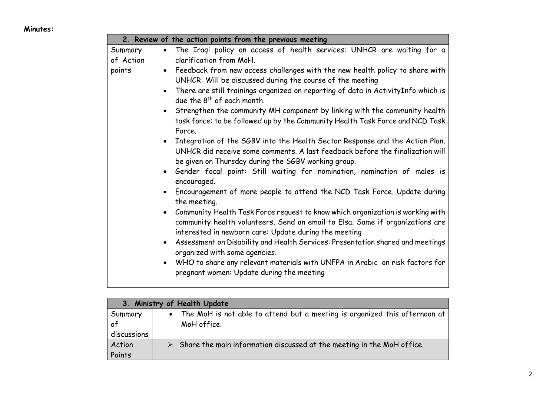#### **Minutes:**

| Summary<br>$\bullet$<br>of Action<br>clarification from MoH.<br>points<br>UNHCR: Will be discussed during the course of the meeting<br>due the 8 <sup>th</sup> of each month.<br>Force.<br>be given on Thursday during the SGBV working group.<br>encouraged.<br>the meeting. | 2. Review of the action points from the previous meeting                                                                                                                                                                                                                                                                                                                                                                                                                                                                                                                                                                                                                                                                                                                                                                                                                                                                                                                                                        |
|-------------------------------------------------------------------------------------------------------------------------------------------------------------------------------------------------------------------------------------------------------------------------------|-----------------------------------------------------------------------------------------------------------------------------------------------------------------------------------------------------------------------------------------------------------------------------------------------------------------------------------------------------------------------------------------------------------------------------------------------------------------------------------------------------------------------------------------------------------------------------------------------------------------------------------------------------------------------------------------------------------------------------------------------------------------------------------------------------------------------------------------------------------------------------------------------------------------------------------------------------------------------------------------------------------------|
|                                                                                                                                                                                                                                                                               | The Iraqi policy on access of health services: UNHCR are waiting for a                                                                                                                                                                                                                                                                                                                                                                                                                                                                                                                                                                                                                                                                                                                                                                                                                                                                                                                                          |
|                                                                                                                                                                                                                                                                               |                                                                                                                                                                                                                                                                                                                                                                                                                                                                                                                                                                                                                                                                                                                                                                                                                                                                                                                                                                                                                 |
| interested in newborn care: Update during the meeting<br>organized with some agencies.<br>pregnant women: Update during the meeting                                                                                                                                           | • Feedback from new access challenges with the new health policy to share with<br>• There are still trainings organized on reporting of data in Activity Info which is<br>• Strengthen the community MH component by linking with the community health<br>task force: to be followed up by the Community Health Task Force and NCD Task<br>• Integration of the SGBV into the Health Sector Response and the Action Plan.<br>UNHCR did receive some comments. A last feedback before the finalization will<br>• Gender focal point: Still waiting for nomination, nomination of males is<br>• Encouragement of more people to attend the NCD Task Force. Update during<br>Community Health Task Force request to know which organization is working with<br>community health volunteers. Send an email to Elsa. Same if organizations are<br>• Assessment on Disability and Health Services: Presentation shared and meetings<br>• WHO to share any relevant materials with UNFPA in Arabic on risk factors for |

|             | 3. Ministry of Health Update                                                            |
|-------------|-----------------------------------------------------------------------------------------|
| Summary     | • The MoH is not able to attend but a meeting is organized this afternoon at            |
| of          | MoH office.                                                                             |
| discussions |                                                                                         |
| Action      | $\triangleright$ Share the main information discussed at the meeting in the MoH office. |
| Points      |                                                                                         |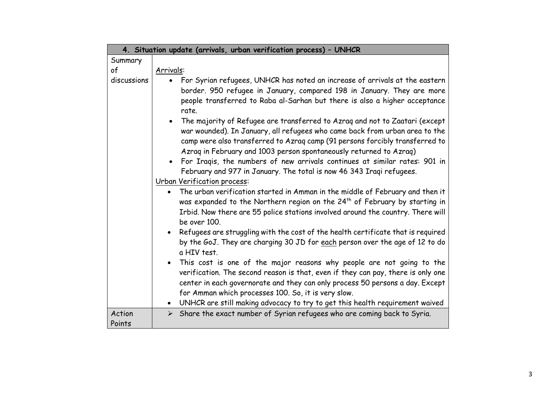| 4. Situation update (arrivals, urban verification process) - UNHCR |                                                                                                                                                                                                                                                                                                                                                                                                                                                                        |  |
|--------------------------------------------------------------------|------------------------------------------------------------------------------------------------------------------------------------------------------------------------------------------------------------------------------------------------------------------------------------------------------------------------------------------------------------------------------------------------------------------------------------------------------------------------|--|
| Summary                                                            |                                                                                                                                                                                                                                                                                                                                                                                                                                                                        |  |
| of                                                                 | Arrivals:                                                                                                                                                                                                                                                                                                                                                                                                                                                              |  |
| discussions                                                        | For Syrian refugees, UNHCR has noted an increase of arrivals at the eastern<br>$\bullet$<br>border. 950 refugee in January, compared 198 in January. They are more<br>people transferred to Raba al-Sarhan but there is also a higher acceptance<br>rate.                                                                                                                                                                                                              |  |
|                                                                    | The majority of Refugee are transferred to Azrag and not to Zaatari (except<br>war wounded). In January, all refugees who came back from urban area to the<br>camp were also transferred to Azraq camp (91 persons forcibly transferred to<br>Azraq in February and 1003 person spontaneously returned to Azraq)<br>For Iragis, the numbers of new arrivals continues at similar rates: 901 in<br>February and 977 in January. The total is now 46 343 Iraqi refugees. |  |
|                                                                    | Urban Verification process:                                                                                                                                                                                                                                                                                                                                                                                                                                            |  |
|                                                                    | The urban verification started in Amman in the middle of February and then it<br>was expanded to the Northern region on the 24 <sup>th</sup> of February by starting in<br>Irbid. Now there are 55 police stations involved around the country. There will<br>be over 100.                                                                                                                                                                                             |  |
|                                                                    | Refugees are struggling with the cost of the health certificate that is required<br>$\bullet$<br>by the GoJ. They are charging 30 JD for each person over the age of 12 to do<br>a HIV test.                                                                                                                                                                                                                                                                           |  |
|                                                                    | This cost is one of the major reasons why people are not going to the<br>$\bullet$<br>verification. The second reason is that, even if they can pay, there is only one<br>center in each governorate and they can only process 50 persons a day. Except<br>for Amman which processes 100. So, it is very slow.<br>• UNHCR are still making advocacy to try to get this health requirement waived                                                                       |  |
| Action                                                             | $\triangleright$ Share the exact number of Syrian refugees who are coming back to Syria.                                                                                                                                                                                                                                                                                                                                                                               |  |
| Points                                                             |                                                                                                                                                                                                                                                                                                                                                                                                                                                                        |  |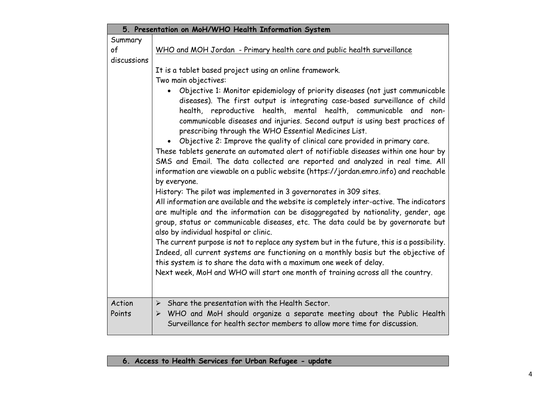| 5. Presentation on MoH/WHO Health Information System |                                                                                                                                                                        |  |
|------------------------------------------------------|------------------------------------------------------------------------------------------------------------------------------------------------------------------------|--|
| Summary                                              |                                                                                                                                                                        |  |
| of                                                   | WHO and MOH Jordan - Primary health care and public health surveillance                                                                                                |  |
| discussions                                          |                                                                                                                                                                        |  |
|                                                      | It is a tablet based project using an online framework.                                                                                                                |  |
|                                                      | Two main objectives:                                                                                                                                                   |  |
|                                                      | Objective 1: Monitor epidemiology of priority diseases (not just communicable                                                                                          |  |
|                                                      | diseases). The first output is integrating case-based surveillance of child                                                                                            |  |
|                                                      | health, reproductive health, mental health, communicable and non-                                                                                                      |  |
|                                                      | communicable diseases and injuries. Second output is using best practices of                                                                                           |  |
|                                                      | prescribing through the WHO Essential Medicines List.                                                                                                                  |  |
|                                                      | Objective 2: Improve the quality of clinical care provided in primary care.                                                                                            |  |
|                                                      | These tablets generate an automated alert of notifiable diseases within one hour by                                                                                    |  |
|                                                      | SMS and Email. The data collected are reported and analyzed in real time. All<br>information are viewable on a public website (https://jordan.emro.info) and reachable |  |
|                                                      | by everyone.                                                                                                                                                           |  |
|                                                      | History: The pilot was implemented in 3 governorates in 309 sites.                                                                                                     |  |
|                                                      | All information are available and the website is completely inter-active. The indicators                                                                               |  |
|                                                      | are multiple and the information can be disaggregated by nationality, gender, age                                                                                      |  |
|                                                      | group, status or communicable diseases, etc. The data could be by governorate but                                                                                      |  |
|                                                      | also by individual hospital or clinic.                                                                                                                                 |  |
|                                                      | The current purpose is not to replace any system but in the future, this is a possibility.                                                                             |  |
|                                                      | Indeed, all current systems are functioning on a monthly basis but the objective of                                                                                    |  |
|                                                      | this system is to share the data with a maximum one week of delay.                                                                                                     |  |
|                                                      | Next week, MoH and WHO will start one month of training across all the country.                                                                                        |  |
|                                                      |                                                                                                                                                                        |  |
|                                                      |                                                                                                                                                                        |  |
| Action                                               | $\triangleright$ Share the presentation with the Health Sector.                                                                                                        |  |
| Points                                               | > WHO and MoH should organize a separate meeting about the Public Health                                                                                               |  |
|                                                      | Surveillance for health sector members to allow more time for discussion.                                                                                              |  |

## **6. Access to Health Services for Urban Refugee - update**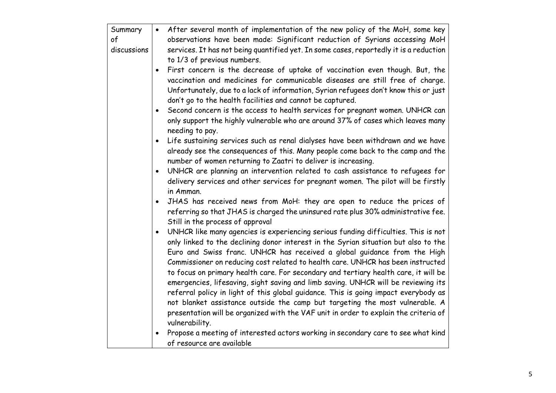| Summary     | $\bullet$ | After several month of implementation of the new policy of the MoH, some key           |
|-------------|-----------|----------------------------------------------------------------------------------------|
| of          |           | observations have been made: Significant reduction of Syrians accessing MoH            |
| discussions |           | services. It has not being quantified yet. In some cases, reportedly it is a reduction |
|             |           | to 1/3 of previous numbers.                                                            |
|             | $\bullet$ | First concern is the decrease of uptake of vaccination even though. But, the           |
|             |           | vaccination and medicines for communicable diseases are still free of charge.          |
|             |           | Unfortunately, due to a lack of information, Syrian refugees don't know this or just   |
|             |           | don't go to the health facilities and cannot be captured.                              |
|             |           | Second concern is the access to health services for pregnant women. UNHCR can          |
|             |           | only support the highly vulnerable who are around 37% of cases which leaves many       |
|             |           | needing to pay.                                                                        |
|             |           | Life sustaining services such as renal dialyses have been withdrawn and we have        |
|             |           | already see the consequences of this. Many people come back to the camp and the        |
|             |           | number of women returning to Zaatri to deliver is increasing.                          |
|             |           | UNHCR are planning an intervention related to cash assistance to refugees for          |
|             |           | delivery services and other services for pregnant women. The pilot will be firstly     |
|             |           | in Amman.                                                                              |
|             |           | JHAS has received news from MoH: they are open to reduce the prices of                 |
|             |           | referring so that JHAS is charged the uninsured rate plus 30% administrative fee.      |
|             |           | Still in the process of approval                                                       |
|             |           | UNHCR like many agencies is experiencing serious funding difficulties. This is not     |
|             |           | only linked to the declining donor interest in the Syrian situation but also to the    |
|             |           | Euro and Swiss franc. UNHCR has received a global guidance from the High               |
|             |           | Commissioner on reducing cost related to health care. UNHCR has been instructed        |
|             |           | to focus on primary health care. For secondary and tertiary health care, it will be    |
|             |           | emergencies, lifesaving, sight saving and limb saving. UNHCR will be reviewing its     |
|             |           | referral policy in light of this global guidance. This is going impact everybody as    |
|             |           | not blanket assistance outside the camp but targeting the most vulnerable. A           |
|             |           | presentation will be organized with the VAF unit in order to explain the criteria of   |
|             |           | vulnerability.                                                                         |
|             |           | Propose a meeting of interested actors working in secondary care to see what kind      |
|             |           | of resource are available                                                              |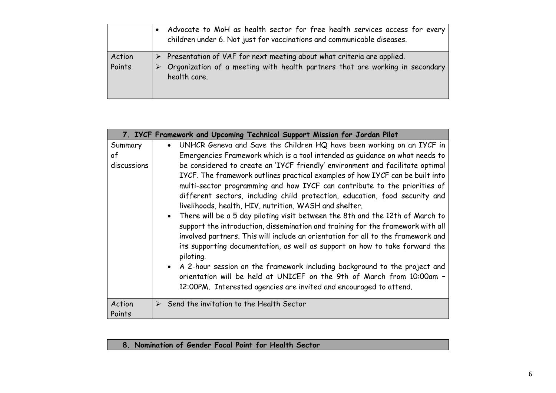|                  |   | Advocate to MoH as health sector for free health services access for every<br>children under 6. Not just for vaccinations and communicable diseases.                    |
|------------------|---|-------------------------------------------------------------------------------------------------------------------------------------------------------------------------|
| Action<br>Points | ➤ | Presentation of VAF for next meeting about what criteria are applied.<br>> Organization of a meeting with health partners that are working in secondary<br>health care. |

|                              | 7. IYCF Framework and Upcoming Technical Support Mission for Jordan Pilot                                                                                                                                                                                                                                                                                                                                                                                                                                                                                                                                                                                                                                                                                                                                                                                                                                                                                                                                                                                                                                                                     |
|------------------------------|-----------------------------------------------------------------------------------------------------------------------------------------------------------------------------------------------------------------------------------------------------------------------------------------------------------------------------------------------------------------------------------------------------------------------------------------------------------------------------------------------------------------------------------------------------------------------------------------------------------------------------------------------------------------------------------------------------------------------------------------------------------------------------------------------------------------------------------------------------------------------------------------------------------------------------------------------------------------------------------------------------------------------------------------------------------------------------------------------------------------------------------------------|
| Summary<br>of<br>discussions | UNHCR Geneva and Save the Children HQ have been working on an IYCF in<br>$\bullet$<br>Emergencies Framework which is a tool intended as guidance on what needs to<br>be considered to create an 'IYCF friendly' environment and facilitate optimal<br>IYCF. The framework outlines practical examples of how IYCF can be built into<br>multi-sector programming and how IYCF can contribute to the priorities of<br>different sectors, including child protection, education, food security and<br>livelihoods, health, HIV, nutrition, WASH and shelter.<br>• There will be a 5 day piloting visit between the 8th and the 12th of March to<br>support the introduction, dissemination and training for the framework with all<br>involved partners. This will include an orientation for all to the framework and<br>its supporting documentation, as well as support on how to take forward the<br>piloting.<br>• A 2-hour session on the framework including background to the project and<br>orientation will be held at UNICEF on the 9th of March from 10:00am -<br>12:00PM. Interested agencies are invited and encouraged to attend. |
| Action<br>Points             | $\triangleright$ Send the invitation to the Health Sector                                                                                                                                                                                                                                                                                                                                                                                                                                                                                                                                                                                                                                                                                                                                                                                                                                                                                                                                                                                                                                                                                     |

### **8. Nomination of Gender Focal Point for Health Sector**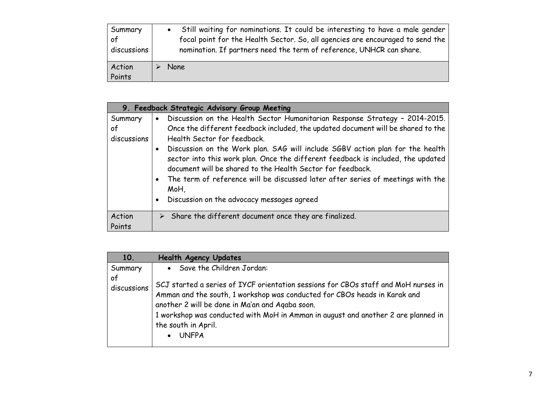| Summary          | Still waiting for nominations. It could be interesting to have a male gender   |
|------------------|--------------------------------------------------------------------------------|
| of               | focal point for the Health Sector. So, all agencies are encouraged to send the |
| discussions      | nomination. If partners need the term of reference, UNHCR can share.           |
| Action<br>Points | None                                                                           |

|                              | 9. Feedback Strategic Advisory Group Meeting                                                                                                                                                                                                                                                                                                                                                                                                                                                                                                                                                                      |
|------------------------------|-------------------------------------------------------------------------------------------------------------------------------------------------------------------------------------------------------------------------------------------------------------------------------------------------------------------------------------------------------------------------------------------------------------------------------------------------------------------------------------------------------------------------------------------------------------------------------------------------------------------|
| Summary<br>οf<br>discussions | Discussion on the Health Sector Humanitarian Response Strategy - 2014-2015.<br>$\bullet$<br>Once the different feedback included, the updated document will be shared to the<br>Health Sector for feedback.<br>Discussion on the Work plan. SAG will include SGBV action plan for the health<br>$\bullet$<br>sector into this work plan. Once the different feedback is included, the updated<br>document will be shared to the Health Sector for feedback.<br>The term of reference will be discussed later after series of meetings with the<br>MoH,<br>Discussion on the advocacy messages agreed<br>$\bullet$ |
| Action<br>Points             | $\triangleright$ Share the different document once they are finalized.                                                                                                                                                                                                                                                                                                                                                                                                                                                                                                                                            |

| 10.               | <b>Health Agency Updates</b>                                                                                                                                                                                                                                                                                                                                |
|-------------------|-------------------------------------------------------------------------------------------------------------------------------------------------------------------------------------------------------------------------------------------------------------------------------------------------------------------------------------------------------------|
| Summary           | • Save the Children Jordan:                                                                                                                                                                                                                                                                                                                                 |
| of<br>discussions | SCJ started a series of IYCF orientation sessions for CBOs staff and MoH nurses in<br>Amman and the south, 1 workshop was conducted for CBOs heads in Karak and<br>another 2 will be done in Ma'an and Agaba soon.<br>1 workshop was conducted with MoH in Amman in august and another 2 are planned in<br>the south in April.<br><b>UNFPA</b><br>$\bullet$ |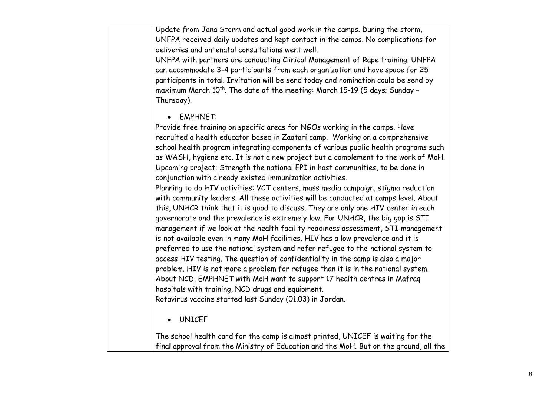| Update from Jana Storm and actual good work in the camps. During the storm,<br>UNFPA received daily updates and kept contact in the camps. No complications for<br>deliveries and antenatal consultations went well.<br>UNFPA with partners are conducting Clinical Management of Rape training. UNFPA<br>can accommodate 3-4 participants from each organization and have space for 25<br>participants in total. Invitation will be send today and nomination could be send by<br>maximum March 10 <sup>th</sup> . The date of the meeting: March 15-19 (5 days; Sunday -<br>Thursday).                                                                                                                                                                                                                                                                                                                                                                                                                                                                                                                                                                                                                                                                                                                                                                                                                                                                                                          |
|---------------------------------------------------------------------------------------------------------------------------------------------------------------------------------------------------------------------------------------------------------------------------------------------------------------------------------------------------------------------------------------------------------------------------------------------------------------------------------------------------------------------------------------------------------------------------------------------------------------------------------------------------------------------------------------------------------------------------------------------------------------------------------------------------------------------------------------------------------------------------------------------------------------------------------------------------------------------------------------------------------------------------------------------------------------------------------------------------------------------------------------------------------------------------------------------------------------------------------------------------------------------------------------------------------------------------------------------------------------------------------------------------------------------------------------------------------------------------------------------------|
| <b>EMPHNET:</b><br>Provide free training on specific areas for NGOs working in the camps. Have<br>recruited a health educator based in Zaatari camp. Working on a comprehensive<br>school health program integrating components of various public health programs such<br>as WASH, hygiene etc. It is not a new project but a complement to the work of MoH.<br>Upcoming project: Strength the national EPI in host communities, to be done in<br>conjunction with already existed immunization activities.<br>Planning to do HIV activities: VCT centers, mass media campaign, stigma reduction<br>with community leaders. All these activities will be conducted at camps level. About<br>this, UNHCR think that it is good to discuss. They are only one HIV center in each<br>governorate and the prevalence is extremely low. For UNHCR, the big gap is STI<br>management if we look at the health facility readiness assessment, STI management<br>is not available even in many MoH facilities. HIV has a low prevalence and it is<br>preferred to use the national system and refer refugee to the national system to<br>access HIV testing. The question of confidentiality in the camp is also a major<br>problem. HIV is not more a problem for refugee than it is in the national system.<br>About NCD, EMPHNET with MoH want to support 17 health centres in Mafraq<br>hospitals with training, NCD drugs and equipment.<br>Rotavirus vaccine started last Sunday (01.03) in Jordan. |
| • UNICEF                                                                                                                                                                                                                                                                                                                                                                                                                                                                                                                                                                                                                                                                                                                                                                                                                                                                                                                                                                                                                                                                                                                                                                                                                                                                                                                                                                                                                                                                                          |
| The school health card for the camp is almost printed, UNICEF is waiting for the<br>final approval from the Ministry of Education and the MoH. But on the ground, all the                                                                                                                                                                                                                                                                                                                                                                                                                                                                                                                                                                                                                                                                                                                                                                                                                                                                                                                                                                                                                                                                                                                                                                                                                                                                                                                         |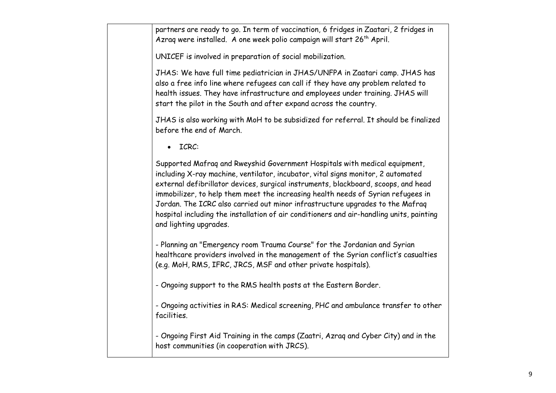partners are ready to go. In term of vaccination, 6 fridges in Zaatari, 2 fridges in Azrag were installed. A one week polio campaign will start  $26<sup>th</sup>$  April.

UNICEF is involved in preparation of social mobilization.

JHAS: We have full time pediatrician in JHAS/UNFPA in Zaatari camp. JHAS has also a free info line where refugees can call if they have any problem related to health issues. They have infrastructure and employees under training. JHAS will start the pilot in the South and after expand across the country.

JHAS is also working with MoH to be subsidized for referral. It should be finalized before the end of March.

ICRC:

Supported Mafraq and Rweyshid Government Hospitals with medical equipment, including X-ray machine, ventilator, incubator, vital signs monitor, 2 automated external defibrillator devices, surgical instruments, blackboard, scoops, and head immobilizer, to help them meet the increasing health needs of Syrian refugees in Jordan. The ICRC also carried out minor infrastructure upgrades to the Mafraq hospital including the installation of air conditioners and air-handling units, painting and lighting upgrades.

- Planning an "Emergency room Trauma Course" for the Jordanian and Syrian healthcare providers involved in the management of the Syrian conflict's casualties (e.g. MoH, RMS, IFRC, JRCS, MSF and other private hospitals).

- Ongoing support to the RMS health posts at the Eastern Border.

- Ongoing activities in RAS: Medical screening, PHC and ambulance transfer to other facilities.

- Ongoing First Aid Training in the camps (Zaatri, Azraq and Cyber City) and in the host communities (in cooperation with JRCS).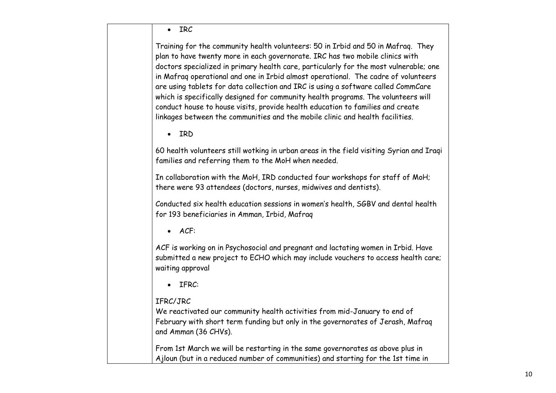| <b>IRC</b>                                                                                                                                                                                                                                                                                                                                                                                                                                                                                                                                                                                                                                                                                    |
|-----------------------------------------------------------------------------------------------------------------------------------------------------------------------------------------------------------------------------------------------------------------------------------------------------------------------------------------------------------------------------------------------------------------------------------------------------------------------------------------------------------------------------------------------------------------------------------------------------------------------------------------------------------------------------------------------|
| Training for the community health volunteers: 50 in Irbid and 50 in Mafrag. They<br>plan to have twenty more in each governorate. IRC has two mobile clinics with<br>doctors specialized in primary health care, particularly for the most vulnerable; one<br>in Mafrag operational and one in Irbid almost operational. The cadre of volunteers<br>are using tablets for data collection and IRC is using a software called CommCare<br>which is specifically designed for community health programs. The volunteers will<br>conduct house to house visits, provide health education to families and create<br>linkages between the communities and the mobile clinic and health facilities. |
| IRD                                                                                                                                                                                                                                                                                                                                                                                                                                                                                                                                                                                                                                                                                           |
| 60 health volunteers still wotking in urban areas in the field visiting Syrian and Iraqi<br>families and referring them to the MoH when needed.                                                                                                                                                                                                                                                                                                                                                                                                                                                                                                                                               |
| In collaboration with the MoH, IRD conducted four workshops for staff of MoH;<br>there were 93 attendees (doctors, nurses, midwives and dentists).                                                                                                                                                                                                                                                                                                                                                                                                                                                                                                                                            |
| Conducted six health education sessions in women's health, SGBV and dental health<br>for 193 beneficiaries in Amman, Irbid, Mafrag                                                                                                                                                                                                                                                                                                                                                                                                                                                                                                                                                            |
| ACF:                                                                                                                                                                                                                                                                                                                                                                                                                                                                                                                                                                                                                                                                                          |
| ACF is working on in Psychosocial and pregnant and lactating women in Irbid. Have<br>submitted a new project to ECHO which may include vouchers to access health care;<br>waiting approval                                                                                                                                                                                                                                                                                                                                                                                                                                                                                                    |
| IFRC:                                                                                                                                                                                                                                                                                                                                                                                                                                                                                                                                                                                                                                                                                         |
| IFRC/JRC<br>We reactivated our community health activities from mid-January to end of<br>February with short term funding but only in the governorates of Jerash, Mafrag<br>and Amman (36 CHVs).                                                                                                                                                                                                                                                                                                                                                                                                                                                                                              |
| From 1st March we will be restarting in the same governorates as above plus in<br>Ajloun (but in a reduced number of communities) and starting for the 1st time in                                                                                                                                                                                                                                                                                                                                                                                                                                                                                                                            |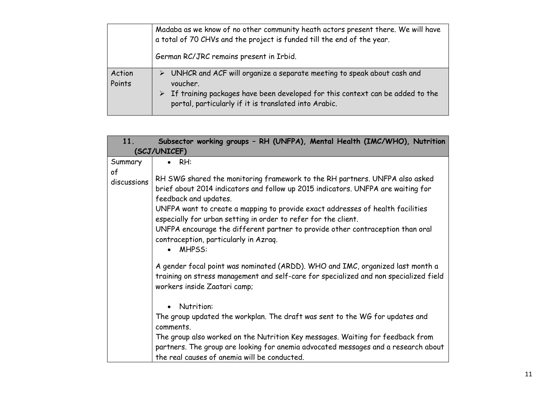|                  | Madaba as we know of no other community heath actors present there. We will have<br>a total of 70 CHVs and the project is funded till the end of the year.                                                                                         |  |  |  |  |  |
|------------------|----------------------------------------------------------------------------------------------------------------------------------------------------------------------------------------------------------------------------------------------------|--|--|--|--|--|
|                  | German RC/JRC remains present in Irbid.                                                                                                                                                                                                            |  |  |  |  |  |
| Action<br>Points | UNHCR and ACF will organize a separate meeting to speak about cash and<br>➤<br>voucher.<br>$\triangleright$ If training packages have been developed for this context can be added to the<br>portal, particularly if it is translated into Arabic. |  |  |  |  |  |

| 11.                          | Subsector working groups - RH (UNFPA), Mental Health (IMC/WHO), Nutrition                                                                                                                                                                                                                                 |
|------------------------------|-----------------------------------------------------------------------------------------------------------------------------------------------------------------------------------------------------------------------------------------------------------------------------------------------------------|
|                              | (SCJ/UNICEF)                                                                                                                                                                                                                                                                                              |
| Summary<br>of<br>discussions | RH:<br>RH SWG shared the monitoring framework to the RH partners. UNFPA also asked<br>brief about 2014 indicators and follow up 2015 indicators. UNFPA are waiting for<br>feedback and updates.                                                                                                           |
|                              | UNFPA want to create a mapping to provide exact addresses of health facilities<br>especially for urban setting in order to refer for the client.<br>UNFPA encourage the different partner to provide other contraception than oral<br>contraception, particularly in Azraq.<br><b>MHPSS:</b><br>$\bullet$ |
|                              | A gender focal point was nominated (ARDD). WHO and IMC, organized last month a<br>training on stress management and self-care for specialized and non specialized field<br>workers inside Zaatari camp;                                                                                                   |
|                              | Nutrition:<br>$\bullet$<br>The group updated the workplan. The draft was sent to the WG for updates and<br>comments.                                                                                                                                                                                      |
|                              | The group also worked on the Nutrition Key messages. Waiting for feedback from<br>partners. The group are looking for anemia advocated messages and a research about<br>the real causes of anemia will be conducted.                                                                                      |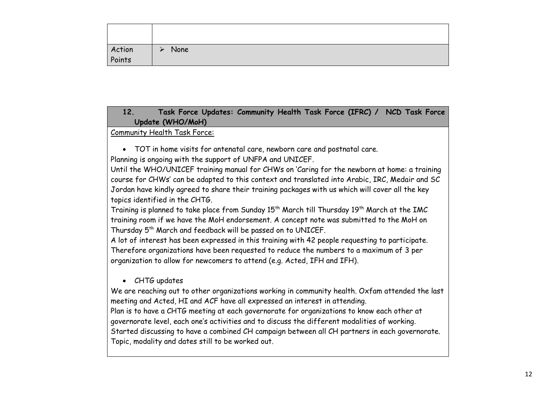| Action<br>Points | None<br>⋗ |
|------------------|-----------|

### **12. Task Force Updates: Community Health Task Force (IFRC) / NCD Task Force Update (WHO/MoH)**

#### Community Health Task Force:

 TOT in home visits for antenatal care, newborn care and postnatal care. Planning is ongoing with the support of UNFPA and UNICEF.

Until the WHO/UNICEF training manual for CHWs on 'Caring for the newborn at home: a training course for CHWs' can be adapted to this context and translated into Arabic, IRC, Medair and SC Jordan have kindly agreed to share their training packages with us which will cover all the key topics identified in the CHTG.

Training is planned to take place from Sunday 15<sup>th</sup> March till Thursday 19<sup>th</sup> March at the IMC training room if we have the MoH endorsement. A concept note was submitted to the MoH on Thursday 5th March and feedback will be passed on to UNICEF.

A lot of interest has been expressed in this training with 42 people requesting to participate. Therefore organizations have been requested to reduce the numbers to a maximum of 3 per organization to allow for newcomers to attend (e.g. Acted, IFH and IFH).

CHTG updates

We are reaching out to other organizations working in community health. Oxfam attended the last meeting and Acted, HI and ACF have all expressed an interest in attending.

Plan is to have a CHTG meeting at each governorate for organizations to know each other at governorate level, each one's activities and to discuss the different modalities of working.

Started discussing to have a combined CH campaign between all CH partners in each governorate. Topic, modality and dates still to be worked out.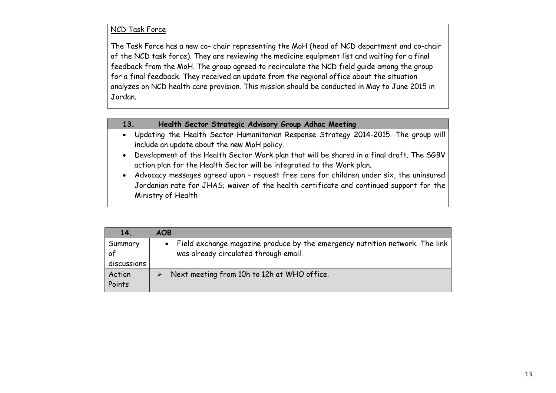#### NCD Task Force

The Task Force has a new co- chair representing the MoH (head of NCD department and co-chair of the NCD task force). They are reviewing the medicine equipment list and waiting for a final feedback from the MoH. The group agreed to recirculate the NCD field guide among the group for a final feedback. They received an update from the regional office about the situation analyzes on NCD health care provision. This mission should be conducted in May to June 2015 in Jordan.

#### **13. Health Sector Strategic Advisory Group Adhoc Meeting**

- Updating the Health Sector Humanitarian Response Strategy 2014-2015. The group will include an update about the new MoH policy.
- Development of the Health Sector Work plan that will be shared in a final draft. The SGBV action plan for the Health Sector will be integrated to the Work plan.
- Advocacy messages agreed upon request free care for children under six, the uninsured Jordanian rate for JHAS; waiver of the health certificate and continued support for the Ministry of Health

| 14 <sup>1</sup> | <b>AOB</b>                                                                     |
|-----------------|--------------------------------------------------------------------------------|
| Summary         | • Field exchange magazine produce by the emergency nutrition network. The link |
| of              | was already circulated through email.                                          |
| discussions     |                                                                                |
| Action          | Next meeting from 10h to 12h at WHO office.                                    |
| Points          |                                                                                |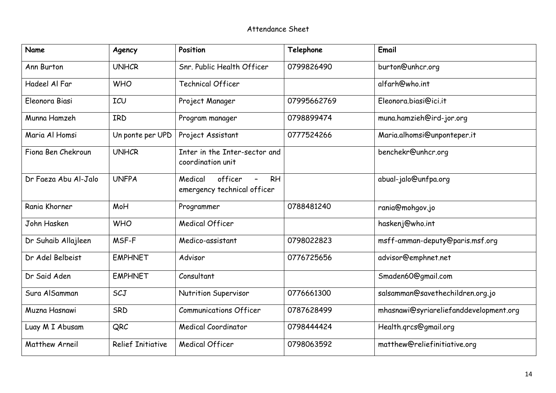| <b>Name</b>          | Agency                   | Position                                                       | Telephone   | Email                                  |
|----------------------|--------------------------|----------------------------------------------------------------|-------------|----------------------------------------|
| Ann Burton           | <b>UNHCR</b>             | Snr. Public Health Officer                                     | 0799826490  | burton@unhcr.org                       |
| Hadeel Al Far        | <b>WHO</b>               | <b>Technical Officer</b>                                       |             | alfarh@who.int                         |
| Eleonora Biasi       | ICU                      | Project Manager                                                | 07995662769 | Eleonora.biasi@ici.it                  |
| Munna Hamzeh         | IRD                      | Program manager                                                | 0798899474  | muna.hamzieh@ird-jor.org               |
| Maria Al Homsi       | Un ponte per UPD         | Project Assistant                                              | 0777524266  | Maria.alhomsi@unponteper.it            |
| Fiona Ben Chekroun   | <b>UNHCR</b>             | Inter in the Inter-sector and<br>coordination unit             |             | benchekr@unhcr.org                     |
| Dr Faeza Abu Al-Jalo | <b>UNFPA</b>             | officer<br>Medical<br><b>RH</b><br>emergency technical officer |             | abual-jalo@unfpa.org                   |
| Rania Khorner        | MoH                      | Programmer                                                     | 0788481240  | rania@mohgov.jo                        |
| John Hasken          | <b>WHO</b>               | <b>Medical Officer</b>                                         |             | haskenj@who.int                        |
| Dr Suhaib Allajleen  | MSF-F                    | Medico-assistant                                               | 0798022823  | msff-amman-deputy@paris.msf.org        |
| Dr Adel Belbeist     | <b>EMPHNET</b>           | Advisor                                                        | 0776725656  | advisor@emphnet.net                    |
| Dr Said Aden         | <b>EMPHNET</b>           | Consultant                                                     |             | Smaden60@gmail.com                     |
| Sura AlSamman        | SCJ                      | Nutrition Supervisor                                           | 0776661300  | salsamman@savethechildren.org.jo       |
| Muzna Hasnawi        | SRD                      | <b>Communications Officer</b>                                  | 0787628499  | mhasnawi@syriareliefanddevelopment.org |
| Luay M I Abusam      | QRC                      | <b>Medical Coordinator</b>                                     | 0798444424  | Health.grcs@gmail.org                  |
| Matthew Arneil       | <b>Relief Initiative</b> | <b>Medical Officer</b>                                         | 0798063592  | matthew@reliefinitiative.org           |